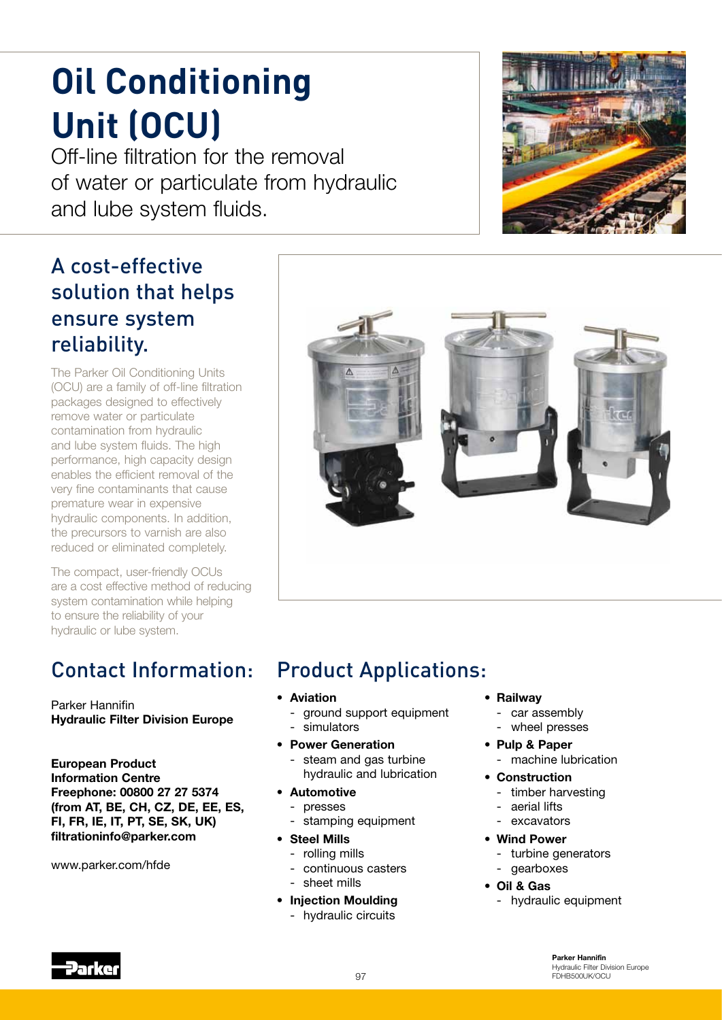# **Oil Conditioning Unit (OCU)**

Off-line filtration for the removal of water or particulate from hydraulic and lube system fluids.

## A cost-effective solution that helps ensure system reliability.

The Parker Oil Conditioning Units (OCU) are a family of off-line filtration packages designed to effectively remove water or particulate contamination from hydraulic and lube system fluids. The high performance, high capacity design enables the efficient removal of the very fine contaminants that cause premature wear in expensive hydraulic components. In addition, the precursors to varnish are also reduced or eliminated completely.

The compact, user-friendly OCUs are a cost effective method of reducing system contamination while helping to ensure the reliability of your hydraulic or lube system.

## Contact Information:

Parker Hannifin Hydraulic Filter Division Europe

European Product Information Centre Freephone: 00800 27 27 5374 (from AT, BE, CH, CZ, DE, EE, ES, FI, FR, IE, IT, PT, SE, SK, UK) filtrationinfo@parker.com

www.parker.com/hfde

## Product Applications:

- • Aviation
	- ground support equipment - simulators
- • Power Generation - steam and gas turbine hydraulic and lubrication
- • Automotive
- presses
- stamping equipment
- • Steel Mills
	- rolling mills
	- continuous casters
	- sheet mills
- • Injection Moulding
	- hydraulic circuits
- • Railway
	- car assembly
	- wheel presses
- • Pulp & Paper - machine lubrication
- • Construction
	- timber harvesting
	- aerial lifts
	- excavators
- • Wind Power
	- turbine generators
- **gearboxes**
- • Oil & Gas
	- hydraulic equipment





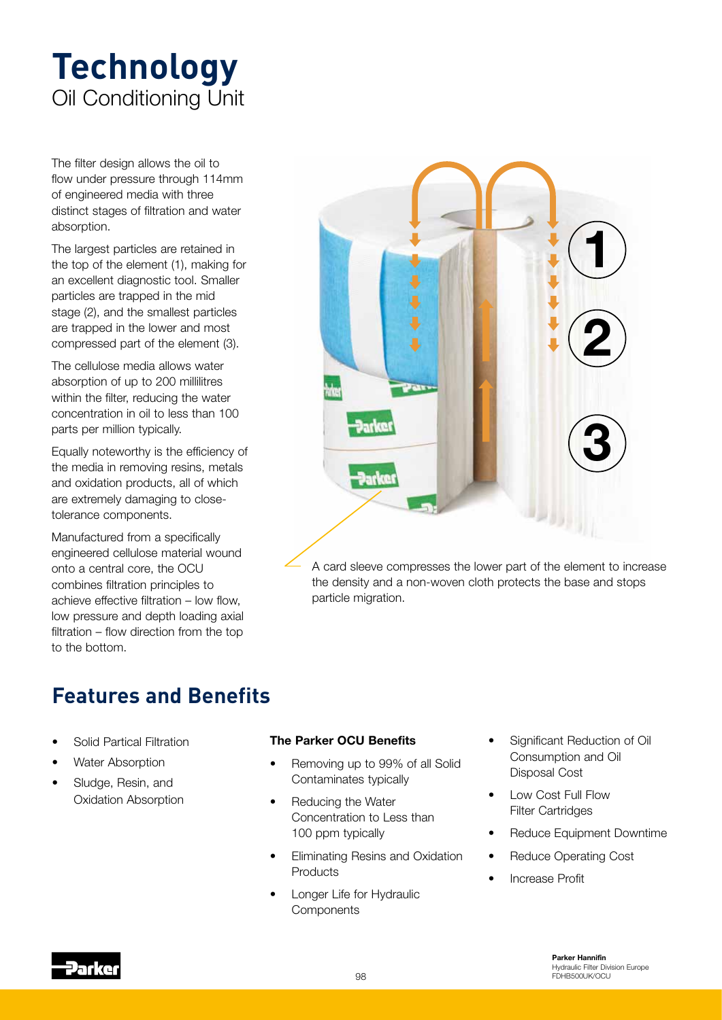## **Technology** Oil Conditioning Unit

The filter design allows the oil to flow under pressure through 114mm of engineered media with three distinct stages of filtration and water absorption.

The largest particles are retained in the top of the element (1), making for an excellent diagnostic tool. Smaller particles are trapped in the mid stage (2), and the smallest particles are trapped in the lower and most compressed part of the element (3).

The cellulose media allows water absorption of up to 200 millilitres within the filter, reducing the water concentration in oil to less than 100 parts per million typically.

Equally noteworthy is the efficiency of the media in removing resins, metals and oxidation products, all of which are extremely damaging to closetolerance components.

Manufactured from a specifically engineered cellulose material wound onto a central core, the OCU combines filtration principles to achieve effective filtration – low flow, low pressure and depth loading axial filtration – flow direction from the top to the bottom.

## **Features and Benefits**

- Solid Partical Filtration
- **Water Absorption**
- Sludge, Resin, and Oxidation Absorption

#### The Parker OCU Benefits

Removing up to 99% of all Solid Contaminates typically

particle migration.

- Reducing the Water Concentration to Less than 100 ppm typically
- **Eliminating Resins and Oxidation Products**
- Longer Life for Hydraulic **Components**
- Significant Reduction of Oil Consumption and Oil Disposal Cost
- Low Cost Full Flow Filter Cartridges
- **Reduce Equipment Downtime**
- Reduce Operating Cost
- Increase Profit



the density and a non-woven cloth protects the base and stops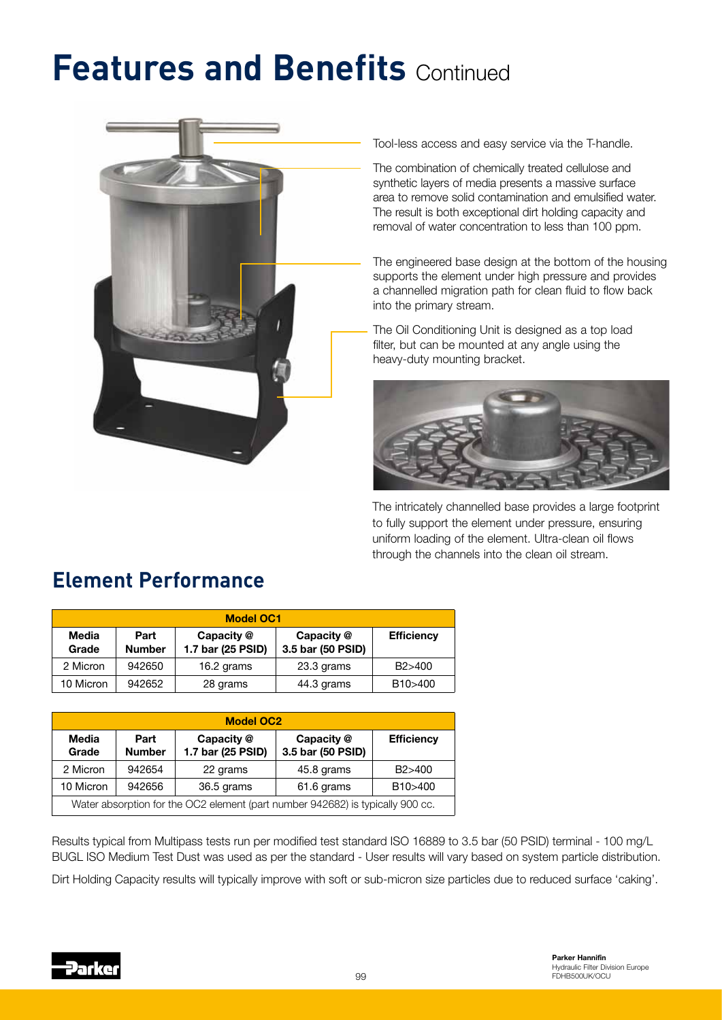## **Features and Benefits Continued**



Tool-less access and easy service via the T-handle.

The combination of chemically treated cellulose and synthetic layers of media presents a massive surface area to remove solid contamination and emulsified water. The result is both exceptional dirt holding capacity and removal of water concentration to less than 100 ppm.

The engineered base design at the bottom of the housing supports the element under high pressure and provides a channelled migration path for clean fluid to flow back into the primary stream.

The Oil Conditioning Unit is designed as a top load filter, but can be mounted at any angle using the heavy-duty mounting bracket.



The intricately channelled base provides a large footprint to fully support the element under pressure, ensuring uniform loading of the element. Ultra-clean oil flows through the channels into the clean oil stream.

### **Element Performance**

| <b>Model OC1</b> |                                                          |            |            |                      |  |  |
|------------------|----------------------------------------------------------|------------|------------|----------------------|--|--|
| Media<br>Grade   | Capacity @<br>Part<br>1.7 bar (25 PSID)<br><b>Number</b> |            |            | <b>Efficiency</b>    |  |  |
| 2 Micron         | 942650                                                   | 16.2 grams | 23.3 grams | B <sub>2</sub> >400  |  |  |
| 10 Micron        | 942652                                                   | 28 grams   | 44.3 grams | B <sub>10</sub> >400 |  |  |

| <b>Model OC2</b>                                                               |                       |                   |            |                     |  |  |
|--------------------------------------------------------------------------------|-----------------------|-------------------|------------|---------------------|--|--|
| Media<br>Grade                                                                 | Part<br><b>Number</b> | <b>Efficiency</b> |            |                     |  |  |
| 2 Micron                                                                       | 942654                | 22 grams          | 45.8 grams | B <sub>2</sub> >400 |  |  |
| 10 Micron<br>61.6 grams<br>942656<br>36.5 grams<br>B <sub>10</sub> >400        |                       |                   |            |                     |  |  |
| Water absorption for the OC2 element (part number 942682) is typically 900 cc. |                       |                   |            |                     |  |  |

Results typical from Multipass tests run per modified test standard ISO 16889 to 3.5 bar (50 PSID) terminal - 100 mg/L BUGL ISO Medium Test Dust was used as per the standard - User results will vary based on system particle distribution.

Dirt Holding Capacity results will typically improve with soft or sub-micron size particles due to reduced surface 'caking'.

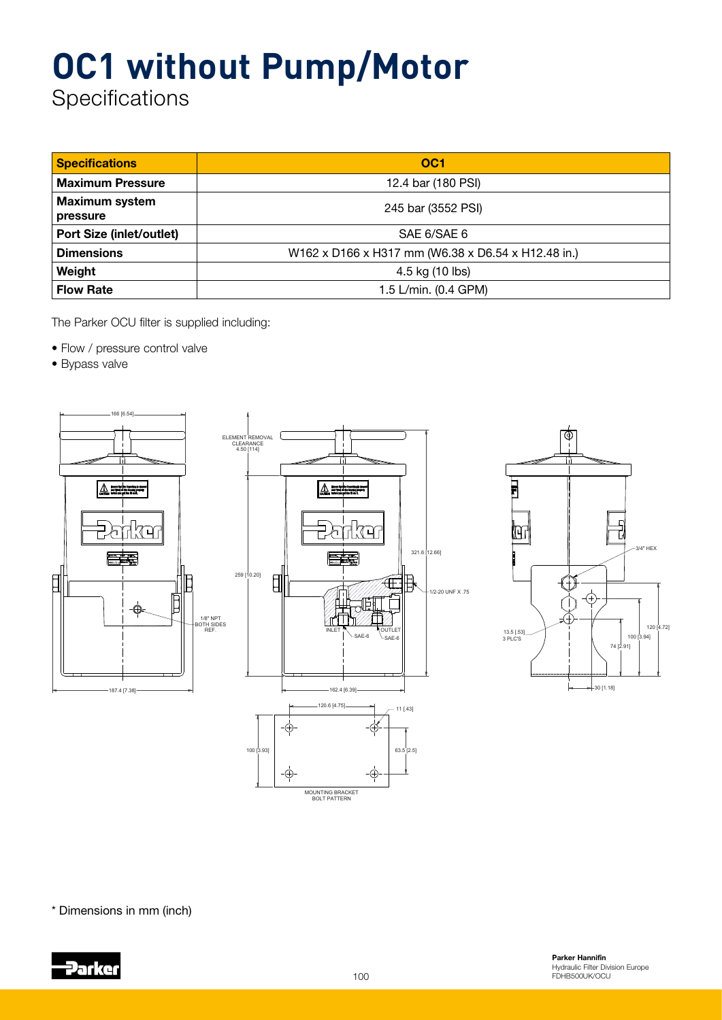# **OC1 without Pump/Motor**

Specifications

| <b>Specifications</b>             | OC <sub>1</sub>                                    |  |  |  |
|-----------------------------------|----------------------------------------------------|--|--|--|
| <b>Maximum Pressure</b>           | 12.4 bar (180 PSI)                                 |  |  |  |
| <b>Maximum system</b><br>pressure | 245 bar (3552 PSI)                                 |  |  |  |
| <b>Port Size (inlet/outlet)</b>   | SAE 6/SAE 6                                        |  |  |  |
| <b>Dimensions</b>                 | W162 x D166 x H317 mm (W6.38 x D6.54 x H12.48 in.) |  |  |  |
| Weight                            | 4.5 kg (10 lbs)                                    |  |  |  |
| <b>Flow Rate</b>                  | 1.5 L/min. (0.4 GPM)                               |  |  |  |

The Parker OCU filter is supplied including:

- Flow / pressure control valve
- Bypass valve





\* Dimensions in mm (inch)

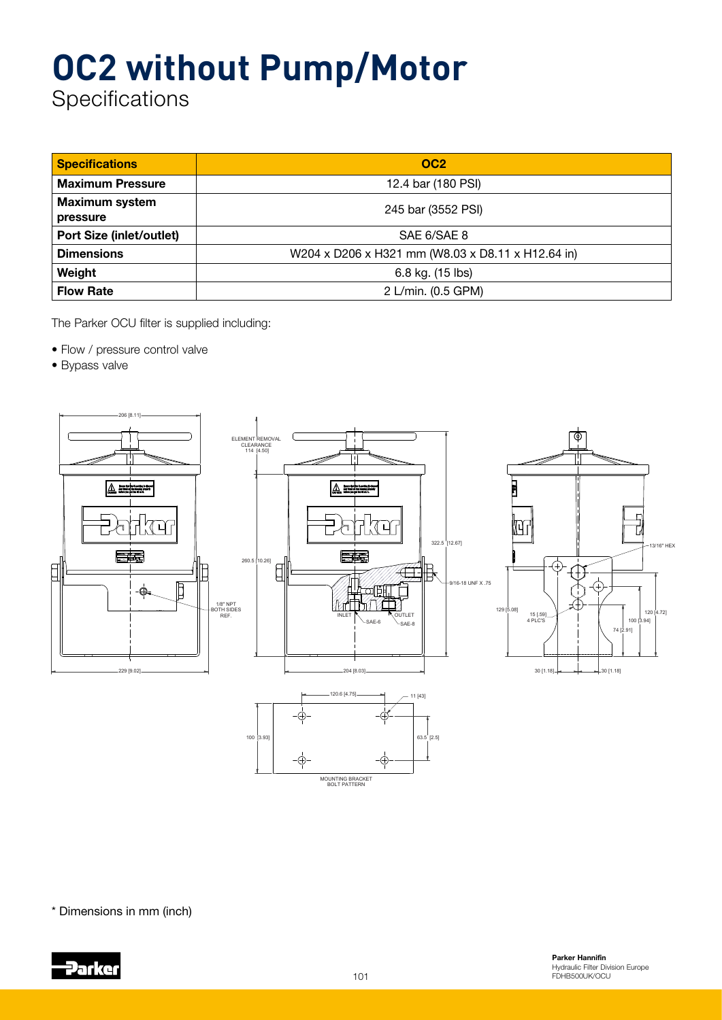# **OC2 without Pump/Motor**

Specifications

| <b>Specifications</b>             | OC <sub>2</sub>                                   |  |  |  |
|-----------------------------------|---------------------------------------------------|--|--|--|
| <b>Maximum Pressure</b>           | 12.4 bar (180 PSI)                                |  |  |  |
| <b>Maximum system</b><br>pressure | 245 bar (3552 PSI)                                |  |  |  |
| <b>Port Size (inlet/outlet)</b>   | SAE 6/SAE 8                                       |  |  |  |
| <b>Dimensions</b>                 | W204 x D206 x H321 mm (W8.03 x D8.11 x H12.64 in) |  |  |  |
| Weight                            | 6.8 kg. (15 lbs)                                  |  |  |  |
| <b>Flow Rate</b>                  | 2 L/min. (0.5 GPM)                                |  |  |  |

The Parker OCU filter is supplied including:

- Flow / pressure control valve
- Bypass valve



\* Dimensions in mm (inch)

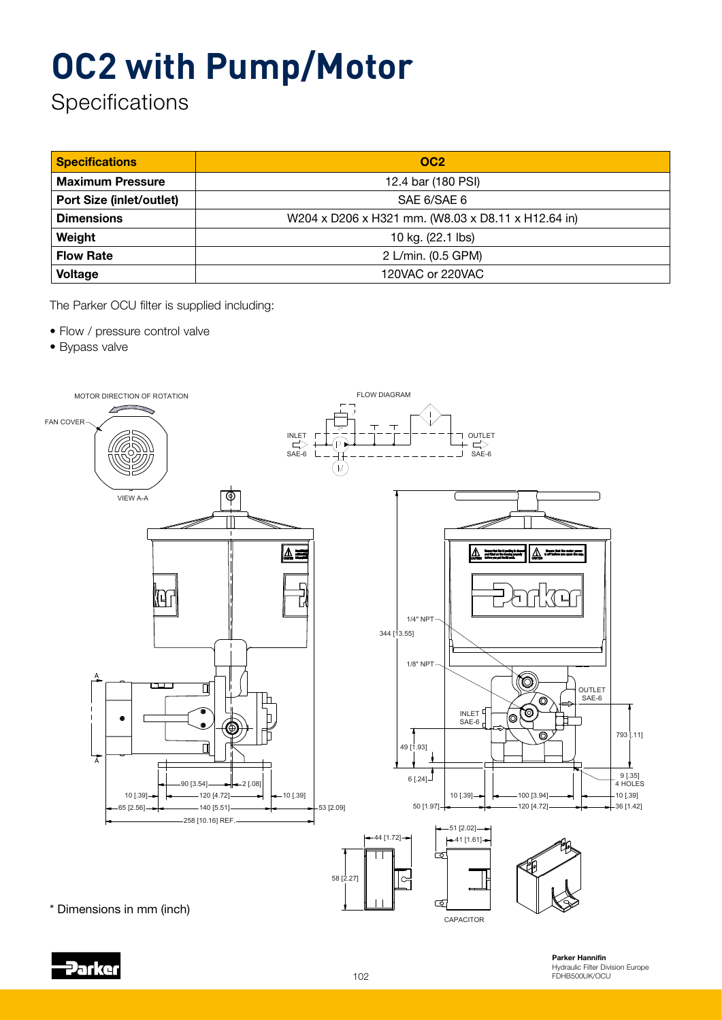# **OC2 with Pump/Motor**

Specifications

| <b>Specifications</b>           | OC <sub>2</sub>                                    |
|---------------------------------|----------------------------------------------------|
| <b>Maximum Pressure</b>         | 12.4 bar (180 PSI)                                 |
| <b>Port Size (inlet/outlet)</b> | SAE 6/SAE 6                                        |
| <b>Dimensions</b>               | W204 x D206 x H321 mm. (W8.03 x D8.11 x H12.64 in) |
| Weight                          | 10 kg. (22.1 lbs)                                  |
| <b>Flow Rate</b>                | 2 L/min. (0.5 GPM)                                 |
| Voltage                         | 120VAC or 220VAC                                   |

The Parker OCU filter is supplied including:

- Flow / pressure control valve
- Bypass valve





Parker Hannifin Hydraulic Filter Division Europe FDHB500UK/OCU